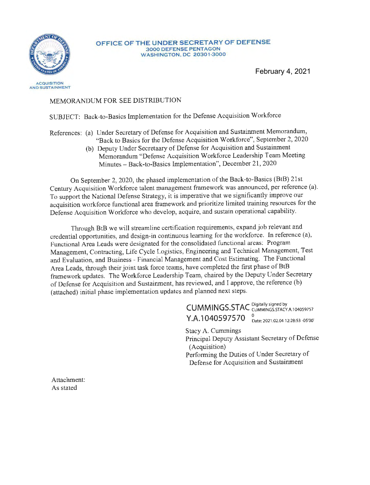

AND SUSTAINMENT

#### **OFFICE OF THE UNDER SECRETARY OF DEFENSE**  3000 DEFENSE PENTAGON **<sup>W</sup> ASHINGTON,** DC 20301 -3000

February 4, 2021

### MEMORANDUM FOR SEE DISTRIBUTION

## SUBJECT: Back-to-Basics Implementation for the Defense Acquisition Workforce

References: (a) Under Secretary of Defense for Acquisition and Sustainment Memorandum, "Back to Basics for the Defense Acquisition Workforce", September 2, 2020

(b) Deputy Under Secretaary of Defense for Acquisition and Sustainment Memorandum "Defense Acquisition Workforce Leadership Team Meeting Minutes- Back-to-Basics Implementation", December 21, 2020

On September 2, 2020, the phased implementation of the Back-to-Basics (BtB) 21st Century Acquisition Workforce talent management framework was announced, per reference (a). To support the National Defense Strategy, it is imperative that we significantly improve our acquisition workforce functional area framework and prioritize limited training resources for the Defense Acquisition Workforce who develop, acquire, and sustain operational capability.

Through BtB we will streamline certification requirements, expand job relevant and credential opportunities, and design-in continuous learning for the workforce. In reference (a), Functional Area Leads were designated for the consolidated functional areas: Program Management, Contracting, Life Cycle Logistics, Engineering and Technical Management, Test and Evaluation, and Business - Financial Management and Cost Estimating. The Functional Area Leads, through their joint task force teams, have completed the first phase of BtB framework updates. The Workforce Leadership Team, chaired by the Deputy Under Secretary of Defense for Acquisition and Sustainment, has reviewed, and I approve, the reference (b) (attached) initial phase implementation updates and planned next steps.

> CUMMINGS.STAC Digitally signed by<br>
> CUMMINGS.STAC CUMMINGS.STACY.A.104059757 Y.A. 1040597570 <sup>0</sup><sub>Date: 2021.02.04 12:28:53-05'00</sub> Stacy A. Cummings Principal Deputy Assistant Secretary of Defense (Acquisition) Performing the Duties of Under Secretary of Defense for Acquisition and Sustainment

Attachment: As stated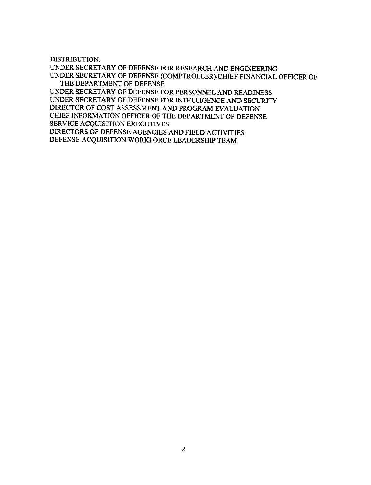DISTRIBUTION:

UNDER SECRETARY OF DEFENSE FOR RESEARCH AND ENGINEERING UNDER SECRETARY OF DEFENSE (COMPTROLLER)/CHIEF FINANCIAL OFFICER OF THE DEPARTMENT OF DEFENSE UNDER SECRETARY OF DEFENSE FOR PERSONNEL AND READINESS UNDER SECRETARY OF DEFENSE FOR INTELLIGENCE AND SECURITY DIRECTOR OF COST ASSESSMENT AND PROGRAM EVALUATION CHIEF INFORMATION OFFICER OF THE DEPARTMENT OF DEFENSE SERVICE ACQUISITION EXECUTIVES DIRECTORS OF DEFENSE AGENCIES AND FIELD ACTIVITIES DEFENSE ACQUISITION WORKFORCE LEADERSHIP TEAM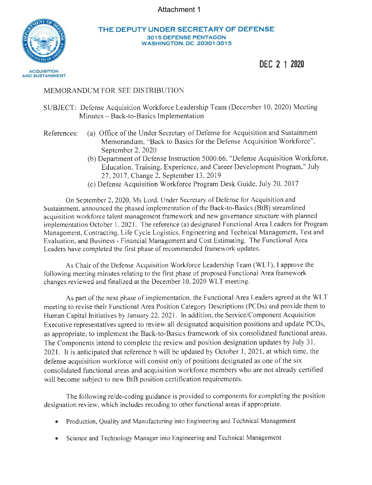Attachment 1



#### **THE DEPUTY UNDER SECRETARY OF DEFENSE 30 1 5 DEFENSE PENTAGON WASHINGTON. DC 2 030 1-3015**

**DEC 2 1 2020** 

### MEMORANDUM FOR SEE DISTRIBUTION

SUBJECT: Defense Acquisition Workforce Leadership Team (December 10, 2020) Meeting Minutes - Back-to-Basics Implementation

References: (a) Office of the Under Secretary of Defense for Acquisition and Sustainment Memorandum, "Back to Basics for the Defense Acquisition Workforce", September 2, 2020

- (b) Department of Defense Instruction 5000.66, "Defense Acquisition Workforce, Education, Training, Experience, and Career Development Program," July 27, 2017, Change 2, September 13, 2019
- (c) Defense Acquisition Workforce Program Desk Guide, July 20, 2017

On September 2, 2020, Ms Lord, Under Secretary of Defense for Acquisition and Sustainment, announced the phased implementation of the Back-to-Basics (BtB) streamlined acquisition workforce talent management framework and new governance structure with planned implementation October I, 2021. The reference (a) designated Functional Area Leaders for Program Management, Contracting, Life Cycle Logistics, Engineering and Technical Management, Test and Evaluation, and Business - Financial Management and Cost Estimating. The Functional Area Leaders have completed the first phase of recommended framework updates.

As Chair of the Defense Acquisition Workforce Leadership Team (WLT), I approve the following meeting minutes relating to the first phase of proposed Functional Area framework changes reviewed and finalized at the December 10, 2020 WLT meeting.

As part of the next phase of implementation, the Functional Area Leaders agreed at the WLT meeting to revise their Functional Area Position Category Descriptions (PCDs) and provide them to Human Capital Initiatives by January 22, 2021. In addition, the Service/Component Acquisition Executive representatives agreed to review all designated acquisition positions and update PCDs, as appropriate, to implement the Back-to-Basics framework of six consolidated functional areas. The Components intend to complete the review and position designation updates by July 31, 2021. It is anticipated that reference b will be updated by October 1, 2021, at which time, the defense acquisition workforce will consist only of positions designated as one of the six consolidated functional areas and acquisition workforce members who are not already certified will become subject to new BtB position certification requirements.

The following re/de-coding guidance is provided to components for completing the position designation review, which includes recoding to other functional areas if appropriate.

- Production, Quality and Manufacturing into Engineering and Technical Management
- Science and Technology Manager into Engineering and Technical Management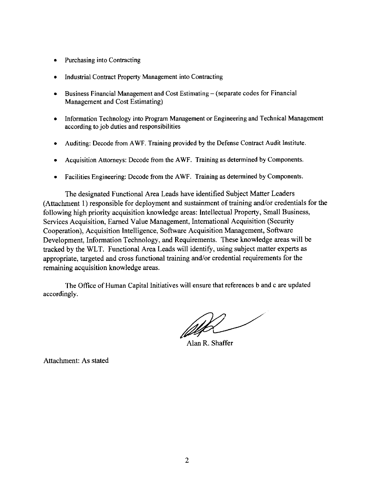- Purchasing into Contracting
- Industrial Contract Property Management into Contracting
- $\bullet$  Business Financial Management and Cost Estimating  $-$  (separate codes for Financial Management and Cost Estimating)
- Information Technology into Program Management or Engineering and Technical Management according to job duties and responsibilities
- Auditing: Decode from A WF. Training provided by the Defense Contract Audit Institute.
- Acquisition Attorneys: Decode from the AWF. Training as determined by Components.
- Facilities Engineering: Decode from the A WF. Training as determined by Components.

The designated Functional Area Leads have identified Subject Matter Leaders (Attachment I) responsible for deployment and sustainment of training and/or credentials for the following high priority acquisition knowledge areas: Intellectual Property, Small Business, Services Acquisition, Earned Value Management, International Acquisition (Security Cooperation), Acquisition Intelligence, Software Acquisition Management, Software Development, Information Technology, and Requirements. These knowledge areas will be tracked by the WLT. Functional Area Leads will identify, using subject matter experts as appropriate, targeted and cross functional training and/or credential requirements for the remaining acquisition knowledge areas.

The Office of Human Capital Initiatives will ensure that references band c are updated accordingly.

White a set

Alan R. Shaffer

Attachment: As stated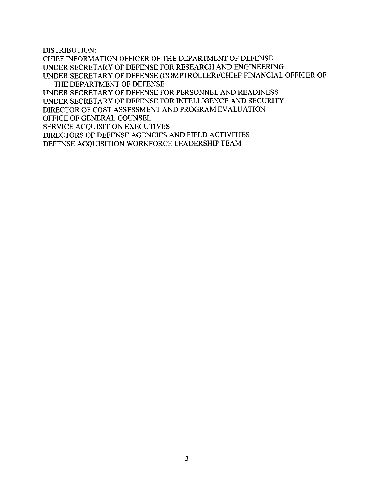DISTRIBUTION:

CHIEF INFORMATION OFFICER OF THE DEPARTMENT OF DEFENSE UNDER SECRETARY OF DEFENSE FOR RESEARCH AND ENGINEERING UNDER SECRETARY OF DEFENSE (COMPTROLLER)/CHIEF FINANCIAL OFFICER OF THE DEPARTMENT OF DEFENSE UNDER SECRETARY OF DEFENSE FOR PERSONNEL AND READINESS UNDER SECRETARY OF DEFENSE FOR INTELLIGENCE AND SECURITY DIRECTOR OF COST ASSESSMENT AND PROGRAM EVALUATION OFFICE OF GENERAL COUNSEL SERVICE ACQUISITION EXECUTIVES DIRECTORS OF DEFENSE AGENCIES AND FIELD ACTIVITIES DEFENSE ACQUISITION WORKFORCE LEADERSHIP TEAM